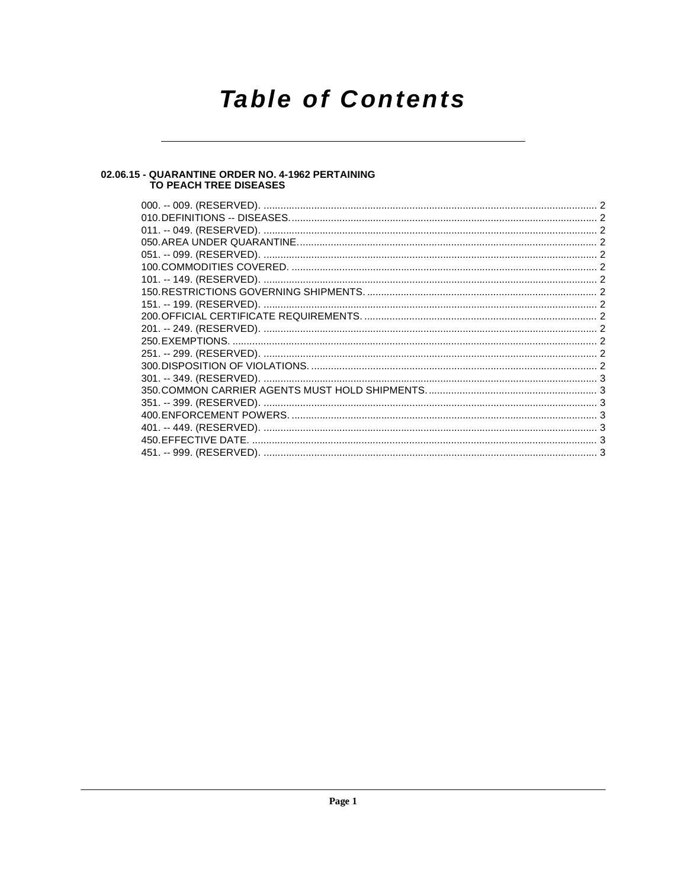## **Table of Contents**

### 02.06.15 - QUARANTINE ORDER NO. 4-1962 PERTAINING<br>TO PEACH TREE DISEASES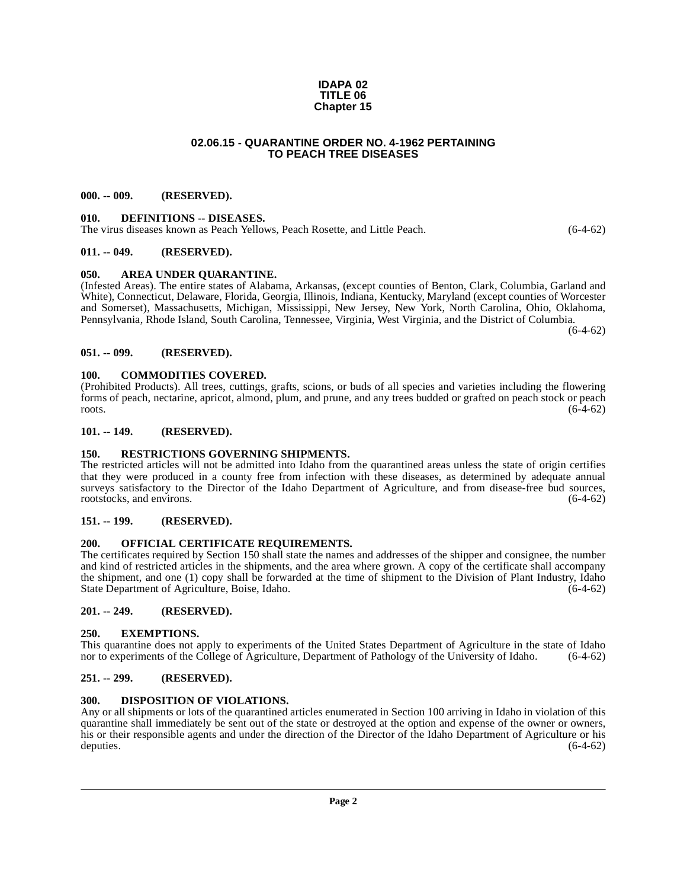#### **IDAPA 02 TITLE 06 Chapter 15**

#### **02.06.15 - QUARANTINE ORDER NO. 4-1962 PERTAINING TO PEACH TREE DISEASES**

#### <span id="page-1-1"></span><span id="page-1-0"></span>**000. -- 009. (RESERVED).**

#### <span id="page-1-17"></span><span id="page-1-2"></span>**010. DEFINITIONS -- DISEASES.**

The virus diseases known as Peach Yellows, Peach Rosette, and Little Peach. (6-4-62)

#### <span id="page-1-3"></span>**011. -- 049. (RESERVED).**

#### <span id="page-1-15"></span><span id="page-1-4"></span>**050. AREA UNDER QUARANTINE.**

(Infested Areas). The entire states of Alabama, Arkansas, (except counties of Benton, Clark, Columbia, Garland and White), Connecticut, Delaware, Florida, Georgia, Illinois, Indiana, Kentucky, Maryland (except counties of Worcester and Somerset), Massachusetts, Michigan, Mississippi, New Jersey, New York, North Carolina, Ohio, Oklahoma, Pennsylvania, Rhode Island, South Carolina, Tennessee, Virginia, West Virginia, and the District of Columbia.

 $(6-4-62)$ 

#### <span id="page-1-5"></span>**051. -- 099. (RESERVED).**

#### <span id="page-1-16"></span><span id="page-1-6"></span>**100. COMMODITIES COVERED.**

(Prohibited Products). All trees, cuttings, grafts, scions, or buds of all species and varieties including the flowering forms of peach, nectarine, apricot, almond, plum, and prune, and any trees budded or grafted on peach stock or peach  $\frac{1}{6-4-62}$ 

#### <span id="page-1-7"></span>**101. -- 149. (RESERVED).**

#### <span id="page-1-21"></span><span id="page-1-8"></span>**150. RESTRICTIONS GOVERNING SHIPMENTS.**

The restricted articles will not be admitted into Idaho from the quarantined areas unless the state of origin certifies that they were produced in a county free from infection with these diseases, as determined by adequate annual surveys satisfactory to the Director of the Idaho Department of Agriculture, and from disease-free bud sources, rootstocks, and environs. (6-4-62) rootstocks, and environs.

#### <span id="page-1-9"></span>**151. -- 199. (RESERVED).**

#### <span id="page-1-20"></span><span id="page-1-10"></span>**200. OFFICIAL CERTIFICATE REQUIREMENTS.**

The certificates required by Section 150 shall state the names and addresses of the shipper and consignee, the number and kind of restricted articles in the shipments, and the area where grown. A copy of the certificate shall accompany the shipment, and one (1) copy shall be forwarded at the time of shipment to the Division of Plant Industry, Idaho State Department of Agriculture, Boise, Idaho. (6-4-62)

#### <span id="page-1-11"></span>**201. -- 249. (RESERVED).**

#### <span id="page-1-19"></span><span id="page-1-12"></span>**250. EXEMPTIONS.**

This quarantine does not apply to experiments of the United States Department of Agriculture in the state of Idaho nor to experiments of the College of Agriculture, Department of Pathology of the University of Idaho. (6-4-62)

#### <span id="page-1-13"></span>**251. -- 299. (RESERVED).**

#### <span id="page-1-18"></span><span id="page-1-14"></span>**300. DISPOSITION OF VIOLATIONS.**

Any or all shipments or lots of the quarantined articles enumerated in Section 100 arriving in Idaho in violation of this quarantine shall immediately be sent out of the state or destroyed at the option and expense of the owner or owners, his or their responsible agents and under the direction of the Director of the Idaho Department of Agriculture or his deputies. (6-4-62)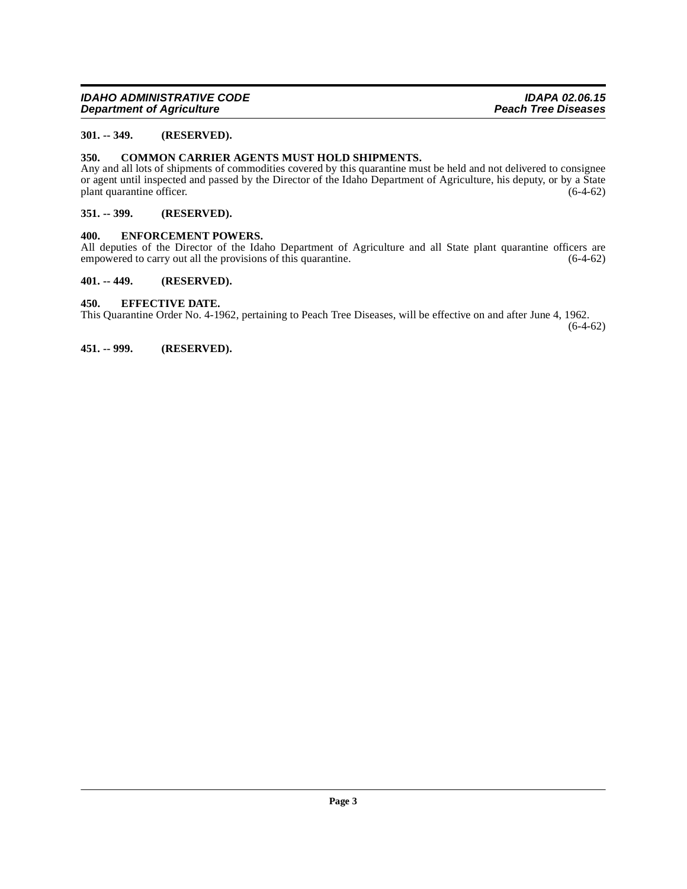#### <span id="page-2-0"></span>**301. -- 349. (RESERVED).**

#### <span id="page-2-7"></span><span id="page-2-1"></span>**350. COMMON CARRIER AGENTS MUST HOLD SHIPMENTS.**

Any and all lots of shipments of commodities covered by this quarantine must be held and not delivered to consignee or agent until inspected and passed by the Director of the Idaho Department of Agriculture, his deputy, or by a State plant quarantine officer. (6-4-62) plant quarantine officer.

#### <span id="page-2-2"></span>**351. -- 399. (RESERVED).**

#### <span id="page-2-9"></span><span id="page-2-3"></span>**400. ENFORCEMENT POWERS.**

All deputies of the Director of the Idaho Department of Agriculture and all State plant quarantine officers are empowered to carry out all the provisions of this quarantine. (6-4-62) empowered to carry out all the provisions of this quarantine.

#### <span id="page-2-4"></span>**401. -- 449. (RESERVED).**

#### <span id="page-2-8"></span><span id="page-2-5"></span>**450. EFFECTIVE DATE.**

This Quarantine Order No. 4-1962, pertaining to Peach Tree Diseases, will be effective on and after June 4, 1962.

(6-4-62)

<span id="page-2-6"></span>**451. -- 999. (RESERVED).**